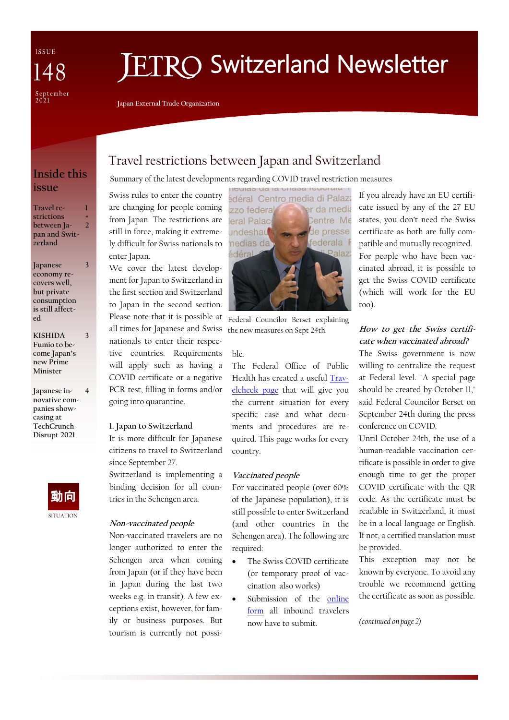ISSUE  $\Delta$ September<br>2021

# **IETRO Switzerland Newsletter**

**Japan External Trade Organization**

# **Inside this issue**

#### **Travel restrictions between Japan and Switzerland 1 + 2**

**Japanese economy recovers well, but private consumption is still affected**

**3**

**3**

**4**

**KISHIDA Fumio to become Japan's new Prime Minister**

**Japanese innovative companies showcasing at TechCrunch Disrupt 2021**



# Travel restrictions between Japan and Switzerland

## Summary of the latest developments regarding COVID travel restriction measures

Swiss rules to enter the country are changing for people coming from Japan. The restrictions are still in force, making it extremely difficult for Swiss nationals to enter Japan.

We cover the latest development for Japan to Switzerland in the first section and Switzerland to Japan in the second section. Please note that it is possible at all times for Japanese and Swiss the new measures on Sept 24th. nationals to enter their respective countries. Requirements will apply such as having a COVID certificate or a negative PCR test, filling in forms and/or going into quarantine.

#### **1. Japan to Switzerland**

It is more difficult for Japanese citizens to travel to Switzerland since September 27. Switzerland is implementing a binding decision for all coun-

**Non-vaccinated people**

tries in the Schengen area.

Non-vaccinated travelers are no longer authorized to enter the Schengen area when coming from Japan (or if they have been in Japan during the last two weeks e.g. in transit). A few exceptions exist, however, for family or business purposes. But tourism is currently not possi-



Federal Councilor Berset explaining

#### ble.

The Federal Office of Public Health has created a useful [Trav](https://travelcheck.admin.ch/check)[elcheck page](https://travelcheck.admin.ch/check) that will give you the current situation for every specific case and what documents and procedures are required. This page works for every country.

## **Vaccinated people**

For vaccinated people (over 60% of the Japanese population), it is still possible to enter Switzerland (and other countries in the Schengen area). The following are required:

- The Swiss COVID certificate (or temporary proof of vaccination also works)
- Submission of the [online](https://swissplf.admin.ch/formular)  [form](https://swissplf.admin.ch/formular) all inbound travelers now have to submit.

# If you already have an EU certificate issued by any of the 27 EU states, you don't need the Swiss certificate as both are fully compatible and mutually recognized. For people who have been vaccinated abroad, it is possible to get the Swiss COVID certificate (which will work for the EU too).

# **How to get the Swiss certificate when vaccinated abroad?**

The Swiss government is now willing to centralize the request at Federal level. "A special page should be created by October 11," said Federal Councilor Berset on September 24th during the press conference on COVID.

Until October 24th, the use of a human-readable vaccination certificate is possible in order to give enough time to get the proper COVID certificate with the QR code. As the certificate must be readable in Switzerland, it must be in a local language or English. If not, a certified translation must be provided.

This exception may not be known by everyone. To avoid any trouble we recommend getting the certificate as soon as possible.

*(continued on page 2)*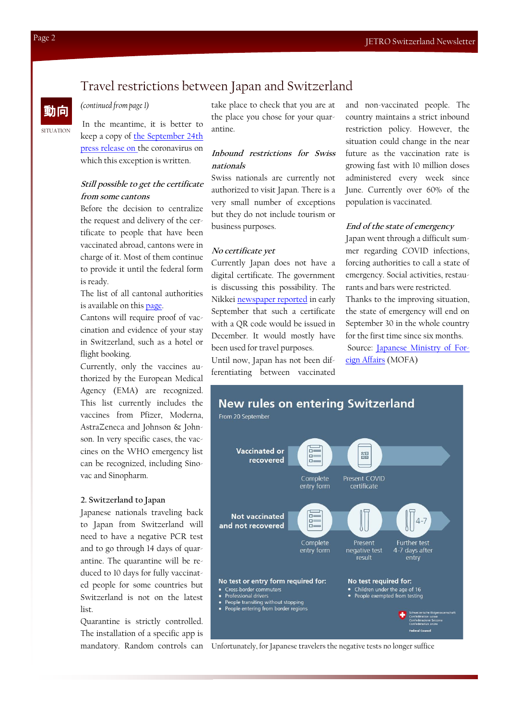# Travel restrictions between Japan and Switzerland

## *(continued from page 1)*

In the meantime, it is better to keep a copy of [the September 24th](https://www.admin.ch/gov/en/start/documentation/media-releases.msg-id-85254.html)  [press release on th](https://www.admin.ch/gov/en/start/documentation/media-releases.msg-id-85254.html)e coronavirus on which this exception is written.

# **Still possible to get the certificate from some cantons**

Before the decision to centralize the request and delivery of the certificate to people that have been vaccinated abroad, cantons were in charge of it. Most of them continue to provide it until the federal form is ready.

The list of all cantonal authorities is available on this [page.](https://foph-coronavirus.ch/certificate/how-do-i-get-a-covid-certificate-and-how-do-i-use-it/#contents1)

Cantons will require proof of vaccination and evidence of your stay in Switzerland, such as a hotel or flight booking.

Currently, only the vaccines authorized by the European Medical Agency (EMA) are recognized. This list currently includes the vaccines from Pfizer, Moderna, AstraZeneca and Johnson & Johnson. In very specific cases, the vaccines on the WHO emergency list can be recognized, including Sinovac and Sinopharm.

#### **2. Switzerland to Japan**

Japanese nationals traveling back to Japan from Switzerland will need to have a negative PCR test and to go through 14 days of quarantine. The quarantine will be reduced to 10 days for fully vaccinated people for some countries but Switzerland is not on the latest list.

Quarantine is strictly controlled. The installation of a specific app is mandatory. Random controls can take place to check that you are at the place you chose for your quarantine.

# **Inbound restrictions for Swiss nationals**

Swiss nationals are currently not authorized to visit Japan. There is a very small number of exceptions but they do not include tourism or business purposes.

#### **No certificate yet**

Currently Japan does not have a digital certificate. The government is discussing this possibility. The Nikkei [newspaper reported](https://asia.nikkei.com/Spotlight/Coronavirus/COVID-vaccines/Japan-to-issue-online-vaccine-certificates-in-December) in early September that such a certificate with a QR code would be issued in December. It would mostly have been used for travel purposes.

Until now, Japan has not been differentiating between vaccinated and non-vaccinated people. The country maintains a strict inbound restriction policy. However, the situation could change in the near future as the vaccination rate is growing fast with 10 million doses administered every week since June. Currently over 60% of the population is vaccinated.

## **End of the state of emergency**

Japan went through a difficult summer regarding COVID infections, forcing authorities to call a state of emergency. Social activities, restaurants and bars were restricted. Thanks to the improving situation, the state of emergency will end on September 30 in the whole country for the first time since six months. Source: [Japanese Ministry of For](https://www.mofa.go.jp/ca/fna/page4e_001053.html#section1)[eign Affairs](https://www.mofa.go.jp/ca/fna/page4e_001053.html#section1) (MOFA)



Unfortunately, for Japanese travelers the negative tests no longer suffice

SITUATION

動向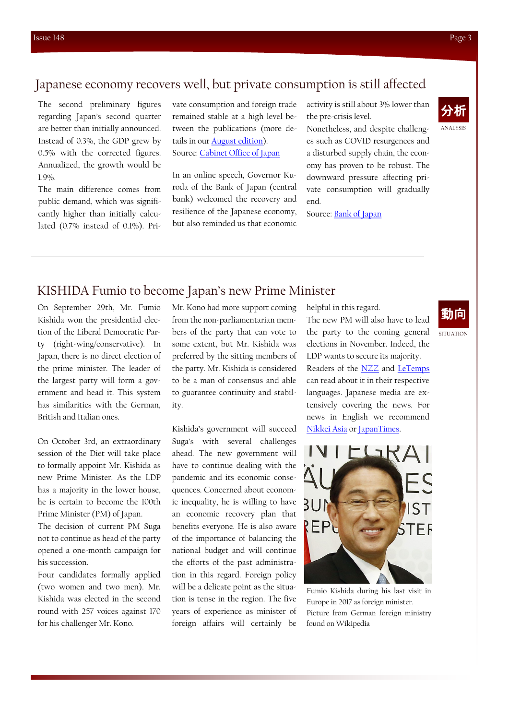# Japanese economy recovers well, but private consumption is still affected

The second preliminary figures regarding Japan's second quarter are better than initially announced. Instead of 0.3%, the GDP grew by 0.5% with the corrected figures. Annualized, the growth would be 1.9%.

The main difference comes from public demand, which was significantly higher than initially calculated (0.7% instead of 0.1%). Private consumption and foreign trade remained stable at a high level between the publications (more details in our [August edition\)](https://www.jetro.go.jp/ext_images/switzerland/newsletter/Newsletter_2021/newsletter147.pdf). Source: [Cabinet Office of Japan](https://www.esri.cao.go.jp/en/sna/data/sokuhou/files/2021/qe212_2/gdemenuea.html)

In an online speech, Governor Kuroda of the Bank of Japan (central bank) welcomed the recovery and resilience of the Japanese economy, but also reminded us that economic

activity is still about 3% lower than the pre-crisis level.

Nonetheless, and despite challenges such as COVID resurgences and a disturbed supply chain, the economy has proven to be robust. The downward pressure affecting private consumption will gradually end.

Source: [Bank of Japan](https://www.boj.or.jp/en/announcements/press/koen_2021/data/ko210927a1.pdf)



# KISHIDA Fumio to become Japan's new Prime Minister

On September 29th, Mr. Fumio Kishida won the presidential election of the Liberal Democratic Party (right-wing/conservative). In Japan, there is no direct election of the prime minister. The leader of the largest party will form a government and head it. This system has similarities with the German, British and Italian ones.

On October 3rd, an extraordinary session of the Diet will take place to formally appoint Mr. Kishida as new Prime Minister. As the LDP has a majority in the lower house, he is certain to become the 100th Prime Minister (PM) of Japan.

The decision of current PM Suga not to continue as head of the party opened a one-month campaign for his succession.

Four candidates formally applied (two women and two men). Mr. Kishida was elected in the second round with 257 voices against 170 for his challenger Mr. Kono.

Mr. Kono had more support coming from the non-parliamentarian members of the party that can vote to some extent, but Mr. Kishida was preferred by the sitting members of the party. Mr. Kishida is considered to be a man of consensus and able to guarantee continuity and stability.

Kishida's government will succeed Suga's with several challenges ahead. The new government will have to continue dealing with the pandemic and its economic consequences. Concerned about economic inequality, he is willing to have an economic recovery plan that benefits everyone. He is also aware of the importance of balancing the national budget and will continue the efforts of the past administration in this regard. Foreign policy will be a delicate point as the situation is tense in the region. The five years of experience as minister of foreign affairs will certainly be

helpful in this regard.

The new PM will also have to lead the party to the coming general elections in November. Indeed, the LDP wants to secure its majority. Readers of the **[NZZ](https://www.nzz.ch/international/japans-regierende-liberaldemokraten-waehlen-eine-neue-parteispitze-ld.1647879)** and **[LeTemps](https://www.letemps.ch/monde/fumio-kishida-un-homme-consensus-diriger-japon)** can read about it in their respective languages. Japanese media are extensively covering the news. For news in English we recommend [Nikkei Asia](https://asia.nikkei.com/Politics/Japan-election/Fumio-Kishida-elected-as-new-leader-of-Japan-s-ruling-LDP) or [JapanTimes.](https://www.japantimes.co.jp/news/2021/09/29/national/politics-diplomacy/kishida-ldp-election-victory/)



Fumio Kishida during his last visit in Europe in 2017 as foreign minister. Picture from German foreign ministry found on Wikipedia

SITUATION